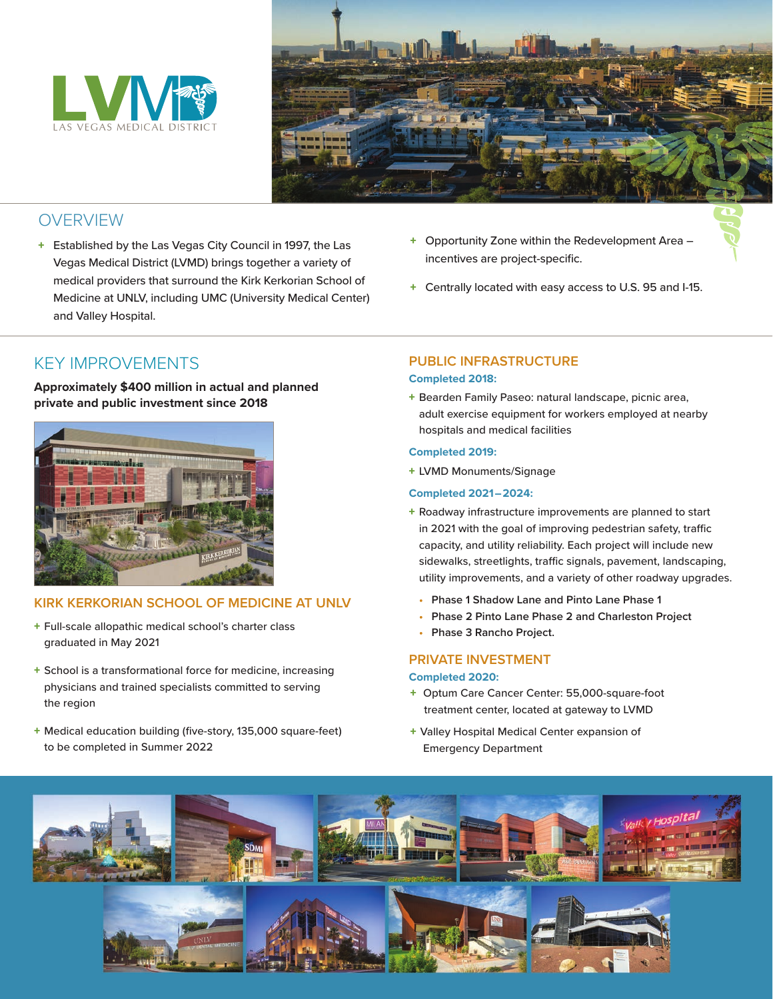



# **OVERVIEW**

- + Established by the Las Vegas City Council in 1997, the Las Vegas Medical District (LVMD) brings together a variety of medical providers that surround the Kirk Kerkorian School of Medicine at UNLV, including UMC (University Medical Center) and Valley Hospital.
- + Opportunity Zone within the Redevelopment Area incentives are project-specific.
- + Centrally located with easy access to U.S. 95 and I-15.

# KEY IMPROVEMENTS

### **Approximately \$400 million in actual and planned private and public investment since 2018**



## **KIRK KERKORIAN SCHOOL OF MEDICINE AT UNLV**

- + Full-scale allopathic medical school's charter class graduated in May 2021
- + School is a transformational force for medicine, increasing physicians and trained specialists committed to serving the region
- + Medical education building (five-story, 135,000 square-feet) to be completed in Summer 2022

### **PUBLIC INFRASTRUCTURE Completed 2018:**

+ Bearden Family Paseo: natural landscape, picnic area, adult exercise equipment for workers employed at nearby hospitals and medical facilities

#### **Completed 2019:**

+ LVMD Monuments/Signage

### **Completed 2021–2024:**

- + Roadway infrastructure improvements are planned to start in 2021 with the goal of improving pedestrian safety, traffic capacity, and utility reliability. Each project will include new sidewalks, streetlights, traffic signals, pavement, landscaping, utility improvements, and a variety of other roadway upgrades.
	- **Phase 1 Shadow Lane and Pinto Lane Phase 1**
	- **Phase 2 Pinto Lane Phase 2 and Charleston Project**
	- **Phase 3 Rancho Project.**

### **PRIVATE INVESTMENT**

### **Completed 2020:**

- + Optum Care Cancer Center: 55,000-square-foot treatment center, located at gateway to LVMD
- + Valley Hospital Medical Center expansion of Emergency Department